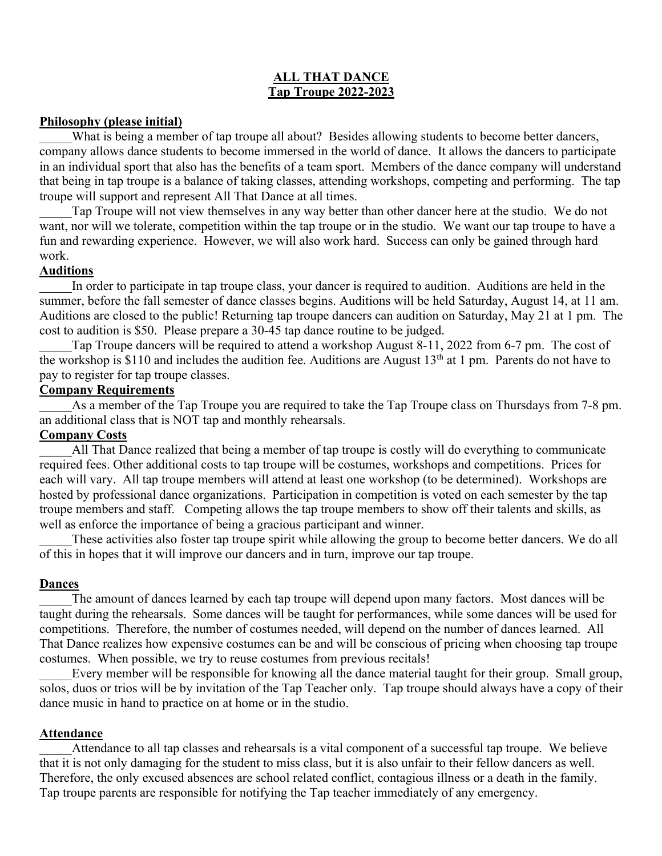### **ALL THAT DANCE Tap Troupe 2022-2023**

#### **Philosophy (please initial)**

What is being a member of tap troupe all about? Besides allowing students to become better dancers, company allows dance students to become immersed in the world of dance. It allows the dancers to participate in an individual sport that also has the benefits of a team sport. Members of the dance company will understand that being in tap troupe is a balance of taking classes, attending workshops, competing and performing. The tap troupe will support and represent All That Dance at all times.

Tap Troupe will not view themselves in any way better than other dancer here at the studio. We do not want, nor will we tolerate, competition within the tap troupe or in the studio. We want our tap troupe to have a fun and rewarding experience. However, we will also work hard. Success can only be gained through hard work.

### **Auditions**

In order to participate in tap troupe class, your dancer is required to audition. Auditions are held in the summer, before the fall semester of dance classes begins. Auditions will be held Saturday, August 14, at 11 am. Auditions are closed to the public! Returning tap troupe dancers can audition on Saturday, May 21 at 1 pm. The cost to audition is \$50. Please prepare a 30-45 tap dance routine to be judged.

Tap Troupe dancers will be required to attend a workshop August 8-11, 2022 from 6-7 pm. The cost of the workshop is \$110 and includes the audition fee. Auditions are August  $13<sup>th</sup>$  at 1 pm. Parents do not have to pay to register for tap troupe classes.

#### **Company Requirements**

As a member of the Tap Troupe you are required to take the Tap Troupe class on Thursdays from 7-8 pm. an additional class that is NOT tap and monthly rehearsals.

### **Company Costs**

All That Dance realized that being a member of tap troupe is costly will do everything to communicate required fees. Other additional costs to tap troupe will be costumes, workshops and competitions. Prices for each will vary. All tap troupe members will attend at least one workshop (to be determined). Workshops are hosted by professional dance organizations. Participation in competition is voted on each semester by the tap troupe members and staff. Competing allows the tap troupe members to show off their talents and skills, as well as enforce the importance of being a gracious participant and winner.

These activities also foster tap troupe spirit while allowing the group to become better dancers. We do all of this in hopes that it will improve our dancers and in turn, improve our tap troupe.

#### **Dances**

The amount of dances learned by each tap troupe will depend upon many factors. Most dances will be taught during the rehearsals. Some dances will be taught for performances, while some dances will be used for competitions. Therefore, the number of costumes needed, will depend on the number of dances learned. All That Dance realizes how expensive costumes can be and will be conscious of pricing when choosing tap troupe costumes. When possible, we try to reuse costumes from previous recitals!

Every member will be responsible for knowing all the dance material taught for their group. Small group, solos, duos or trios will be by invitation of the Tap Teacher only. Tap troupe should always have a copy of their dance music in hand to practice on at home or in the studio.

#### **Attendance**

Attendance to all tap classes and rehearsals is a vital component of a successful tap troupe. We believe that it is not only damaging for the student to miss class, but it is also unfair to their fellow dancers as well. Therefore, the only excused absences are school related conflict, contagious illness or a death in the family. Tap troupe parents are responsible for notifying the Tap teacher immediately of any emergency.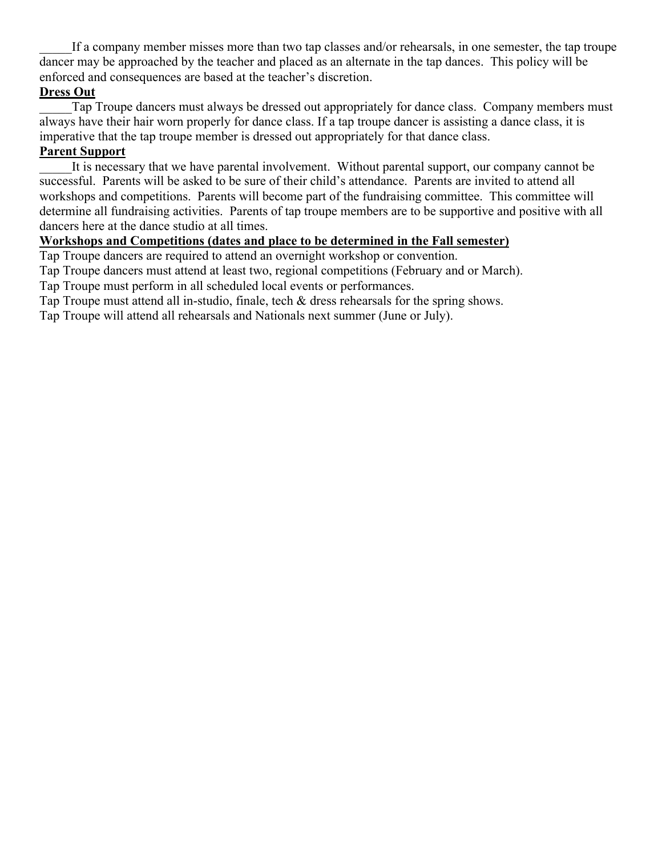If a company member misses more than two tap classes and/or rehearsals, in one semester, the tap troupe dancer may be approached by the teacher and placed as an alternate in the tap dances. This policy will be enforced and consequences are based at the teacher's discretion.

# **Dress Out**

Tap Troupe dancers must always be dressed out appropriately for dance class. Company members must always have their hair worn properly for dance class. If a tap troupe dancer is assisting a dance class, it is imperative that the tap troupe member is dressed out appropriately for that dance class.

## **Parent Support**

It is necessary that we have parental involvement. Without parental support, our company cannot be successful. Parents will be asked to be sure of their child's attendance. Parents are invited to attend all workshops and competitions. Parents will become part of the fundraising committee. This committee will determine all fundraising activities. Parents of tap troupe members are to be supportive and positive with all dancers here at the dance studio at all times.

## **Workshops and Competitions (dates and place to be determined in the Fall semester)**

Tap Troupe dancers are required to attend an overnight workshop or convention.

Tap Troupe dancers must attend at least two, regional competitions (February and or March).

Tap Troupe must perform in all scheduled local events or performances.

Tap Troupe must attend all in-studio, finale, tech & dress rehearsals for the spring shows.

Tap Troupe will attend all rehearsals and Nationals next summer (June or July).